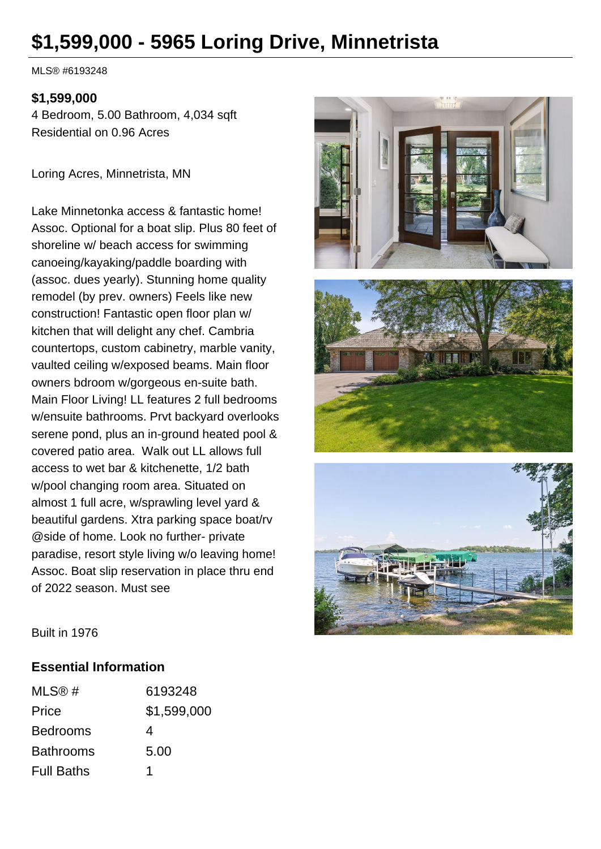# **\$1,599,000 - 5965 Loring Drive, Minnetrista**

MLS® #6193248

#### **\$1,599,000**

4 Bedroom, 5.00 Bathroom, 4,034 sqft Residential on 0.96 Acres

Loring Acres, Minnetrista, MN

Lake Minnetonka access & fantastic home! Assoc. Optional for a boat slip. Plus 80 feet of shoreline w/ beach access for swimming canoeing/kayaking/paddle boarding with (assoc. dues yearly). Stunning home quality remodel (by prev. owners) Feels like new construction! Fantastic open floor plan w/ kitchen that will delight any chef. Cambria countertops, custom cabinetry, marble vanity, vaulted ceiling w/exposed beams. Main floor owners bdroom w/gorgeous en-suite bath. Main Floor Living! LL features 2 full bedrooms w/ensuite bathrooms. Prvt backyard overlooks serene pond, plus an in-ground heated pool & covered patio area. Walk out LL allows full access to wet bar & kitchenette, 1/2 bath w/pool changing room area. Situated on almost 1 full acre, w/sprawling level yard & beautiful gardens. Xtra parking space boat/rv @side of home. Look no further- private paradise, resort style living w/o leaving home! Assoc. Boat slip reservation in place thru end of 2022 season. Must see







Built in 1976

#### **Essential Information**

| MLS@#             | 6193248     |
|-------------------|-------------|
| Price             | \$1,599,000 |
| <b>Bedrooms</b>   | 4           |
| <b>Bathrooms</b>  | 5.00        |
| <b>Full Baths</b> | 1           |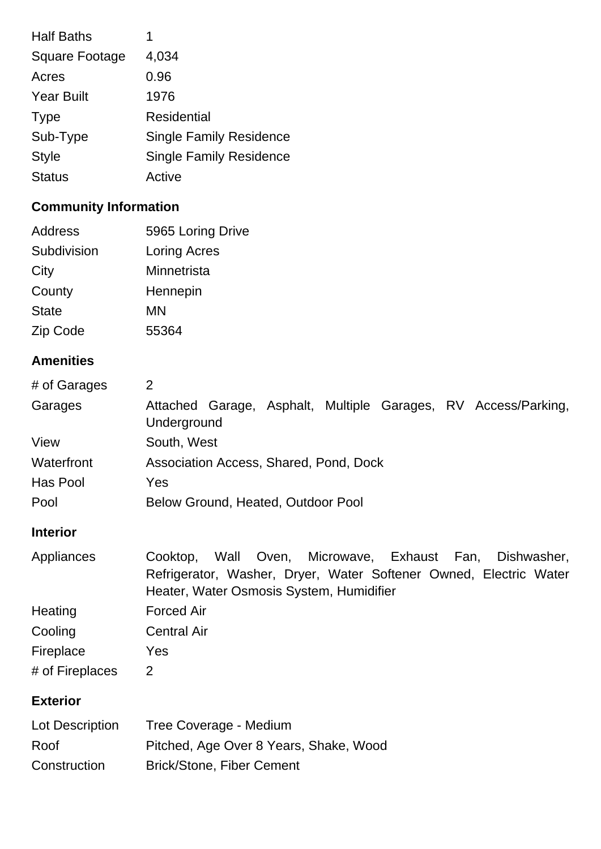| <b>Half Baths</b>     | 1                              |
|-----------------------|--------------------------------|
| <b>Square Footage</b> | 4,034                          |
| Acres                 | 0.96                           |
| <b>Year Built</b>     | 1976                           |
| <b>Type</b>           | <b>Residential</b>             |
| Sub-Type              | <b>Single Family Residence</b> |
| <b>Style</b>          | <b>Single Family Residence</b> |
| <b>Status</b>         | Active                         |

## **Community Information**

| Address      | 5965 Loring Drive |
|--------------|-------------------|
| Subdivision  | Loring Acres      |
| City         | Minnetrista       |
| County       | Hennepin          |
| <b>State</b> | ΜN                |
| Zip Code     | 55364             |

## **Amenities**

| # of Garages | 2                                                                             |  |
|--------------|-------------------------------------------------------------------------------|--|
| Garages      | Attached Garage, Asphalt, Multiple Garages, RV Access/Parking,<br>Underground |  |
| View         | South, West                                                                   |  |
| Waterfront   | Association Access, Shared, Pond, Dock                                        |  |
| Has Pool     | Yes                                                                           |  |
| Pool         | Below Ground, Heated, Outdoor Pool                                            |  |

## **Interior**

| Appliances      | Wall Oven, Microwave, Exhaust Fan, Dishwasher,<br>Cooktop,        |
|-----------------|-------------------------------------------------------------------|
|                 | Refrigerator, Washer, Dryer, Water Softener Owned, Electric Water |
|                 | Heater, Water Osmosis System, Humidifier                          |
| Heating         | <b>Forced Air</b>                                                 |
| Cooling         | <b>Central Air</b>                                                |
| Fireplace       | Yes                                                               |
| # of Fireplaces | 2                                                                 |

## **Exterior**

| Lot Description | Tree Coverage - Medium                 |
|-----------------|----------------------------------------|
| Roof            | Pitched, Age Over 8 Years, Shake, Wood |
| Construction    | <b>Brick/Stone, Fiber Cement</b>       |